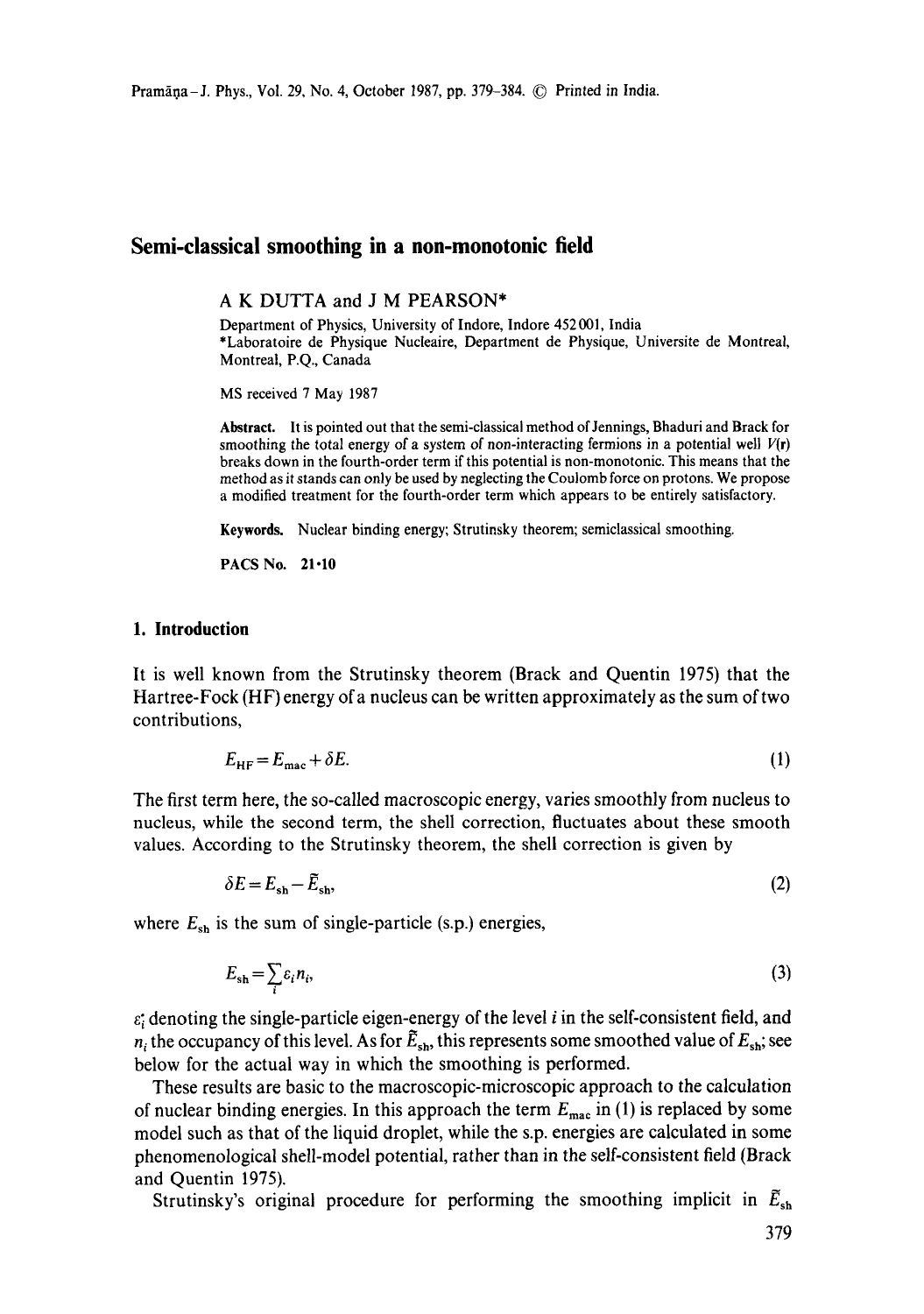# **Semi-classical smoothing in a non-monotonic field**

A K DUTTA and J M PEARSON\*

Department of Physics, University of Indore, Indore 452 001, India \*Laboratoire de Physique Nucleaire, Department de Physique, Universite de Montreal, Montreal, P.Q., Canada

MS received 7 May 1987

Abstract. It is pointed out that the semi-classical method of Jennings, Bhaduri and Brack for smoothing the total energy of a system of non-interacting fermions in a potential well  $V(r)$ breaks down in the fourth-order term if this potential is non-monotonic. This means that the method as it stands can only be used by neglecting the Coulomb force on protons. We propose a modified treatment for the fourth-order term which appears to be entirely satisfactory.

Keywords. Nuclear binding energy; Strutinsky theorem; semiclassical smoothing.

PACS No. 21.10

## **1. Introduction**

It is well known from the Strutinsky theorem (Brack and Quentin 1975) that the Hartree-Fock (HF) energy of a nucleus can be written approximately as the sum of two contributions,

$$
E_{\rm HF} = E_{\rm mac} + \delta E. \tag{1}
$$

The first term here, the so-called macroscopic energy, varies smoothly from nucleus to nucleus, while the second term, the shell correction, fluctuates about these smooth values. According to the Strutinsky theorem, the shell correction is given by

$$
\delta E = E_{\rm sh} - \bar{E}_{\rm sh},\tag{2}
$$

where  $E_{\rm sh}$  is the sum of single-particle (s.p.) energies,

$$
E_{\rm sh} = \sum_{i} \varepsilon_i n_i, \tag{3}
$$

 $\varepsilon$ ; denoting the single-particle eigen-energy of the level i in the self-consistent field, and  $n_i$  the occupancy of this level. As for  $\tilde{E}_{\rm sh}$ , this represents some smoothed value of  $E_{\rm sh}$ ; see below for the actual way in which the smoothing is performed.

These results are basic to the *macroscopic-microscopic* approach to the calculation of nuclear binding energies. In this approach the term  $E_{\text{mac}}$  in (1) is replaced by some model such as that of the liquid droplet, while the s.p. energies are calculated in some phenomenological shell-model potential, rather than in the self-consistent field (Brack and Quentin 1975).

Strutinsky's original procedure for performing the smoothing implicit in  $E_{sh}$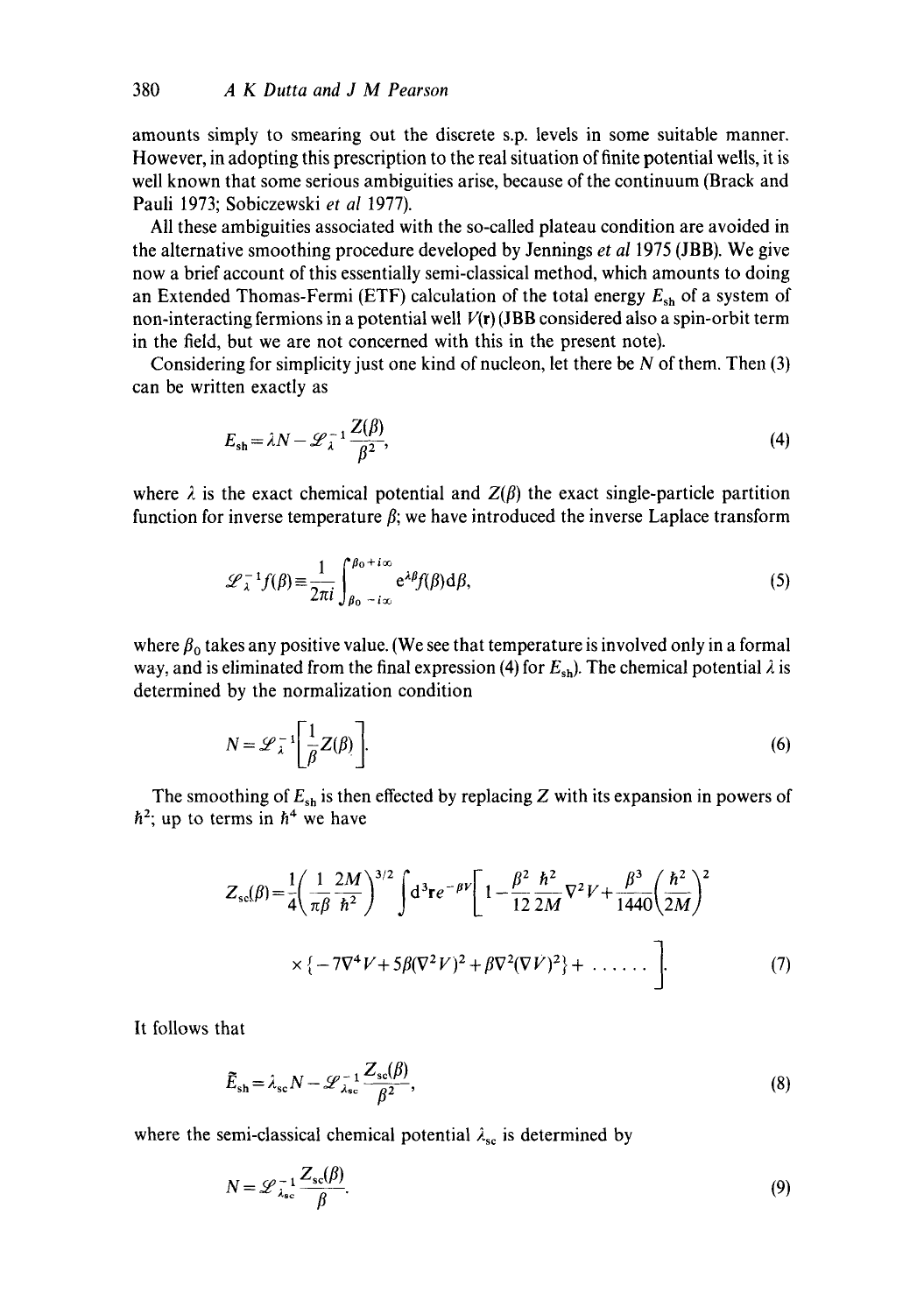amounts simply to smearing out the discrete s.p. levels in some suitable manner. However, in adopting this prescription to the real situation of finite potential wells, it is well known that some serious ambiguities arise, because of the continuum (Brack and Pauli 1973; Sobiczewski *et al* 1977).

All these ambiguities associated with the so-called plateau condition are avoided in the alternative smoothing procedure developed by Jennings *et al* 1975 (JBB). We give now a brief account of this essentially semi-classical method, which amounts to doing an Extended Thomas-Fermi (ETF) calculation of the total energy  $E_{sh}$  of a system of non-interacting fermions in a potential well  $V(r)$  (JBB considered also a spin-orbit term in the field, but we are not concerned with this in the present note).

Considering for simplicity just one kind of nucleon, let there be  $N$  of them. Then  $(3)$ can be written exactly as

$$
E_{\rm sh} = \lambda N - \mathcal{L}_{\lambda}^{-1} \frac{Z(\beta)}{\beta^2},\tag{4}
$$

where  $\lambda$  is the exact chemical potential and  $Z(\beta)$  the exact single-particle partition function for inverse temperature  $\beta$ ; we have introduced the inverse Laplace transform

$$
\mathcal{L}_{\lambda}^{-1} f(\beta) \equiv \frac{1}{2\pi i} \int_{\beta_0 - i\infty}^{\beta_0 + i\infty} e^{\lambda \beta} f(\beta) d\beta,
$$
 (5)

where  $\beta_0$  takes any positive value. (We see that temperature is involved only in a formal way, and is eliminated from the final expression (4) for  $E_{sh}$ ). The chemical potential  $\lambda$  is determined by the normalization condition

$$
N = \mathcal{L}_{\lambda}^{-1} \left[ \frac{1}{\beta} Z(\beta) \right].
$$
 (6)

The smoothing of  $E_{sh}$  is then effected by replacing Z with its expansion in powers of  $\hbar^2$ ; up to terms in  $\hbar^4$  we have

$$
Z_{sc}(\beta) = \frac{1}{4} \left( \frac{1}{\pi \beta} \frac{2M}{\hbar^2} \right)^{3/2} \int d^3 \mathbf{r} e^{-\beta V} \left[ 1 - \frac{\beta^2}{12} \frac{\hbar^2}{2M} \nabla^2 V + \frac{\beta^3}{1440} \left( \frac{\hbar^2}{2M} \right)^2 \right]
$$

$$
\times \left\{ -7\nabla^4 V + 5\beta (\nabla^2 V)^2 + \beta \nabla^2 (\nabla V)^2 \right\} + \dots \qquad (7)
$$

It follows that

$$
\widetilde{E}_{\rm sh} = \lambda_{\rm sc} N - \mathcal{L}_{\lambda_{\rm sc}}^{-1} \frac{Z_{\rm sc}(\beta)}{\beta^2},\tag{8}
$$

where the semi-classical chemical potential  $\lambda_{\rm sc}$  is determined by

$$
N = \mathcal{L}_{\lambda_{\rm sc}}^{-1} \frac{Z_{\rm sc}(\beta)}{\beta}.
$$
 (9)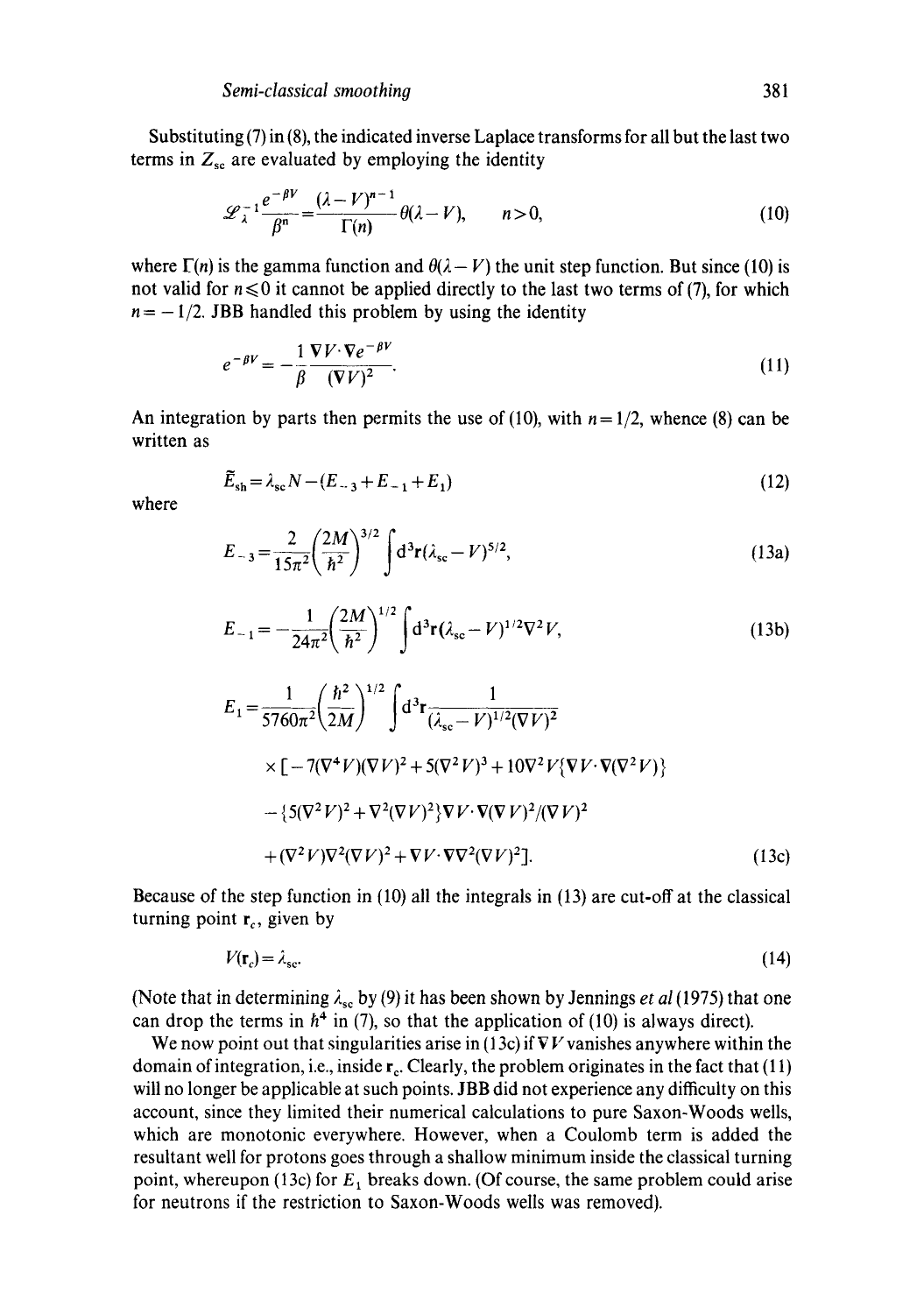Substituting  $(7)$  in  $(8)$ , the indicated inverse Laplace transforms for all but the last two terms in  $Z_{\rm sc}$  are evaluated by employing the identity

$$
\mathcal{L}_{\lambda}^{-1} \frac{e^{-\beta V}}{\beta^n} = \frac{(\lambda - V)^{n-1}}{\Gamma(n)} \theta(\lambda - V), \qquad n > 0,
$$
 (10)

where  $\Gamma(n)$  is the gamma function and  $\theta(\lambda - V)$  the unit step function. But since (10) is not valid for  $n \le 0$  it cannot be applied directly to the last two terms of (7), for which  $n = -1/2$ . JBB handled this problem by using the identity

$$
e^{-\beta V} = -\frac{1}{\beta} \frac{\nabla V \cdot \nabla e^{-\beta V}}{(\nabla V)^2}.
$$
\n(11)

An integration by parts then permits the use of (10), with  $n = 1/2$ , whence (8) can be written as

$$
\tilde{E}_{\rm sh} = \lambda_{\rm sc} N - (E_{-3} + E_{-1} + E_1) \tag{12}
$$

where

$$
E_{-3} = \frac{2}{15\pi^2} \left(\frac{2M}{\hbar^2}\right)^{3/2} \int d^3 \mathbf{r} (\lambda_{\rm sc} - V)^{5/2}, \tag{13a}
$$

$$
E_{-1} = -\frac{1}{24\pi^2} \left(\frac{2M}{\hbar^2}\right)^{1/2} \int d^3 \mathbf{r} (\lambda_{\rm sc} - V)^{1/2} \nabla^2 V,\tag{13b}
$$

$$
E_1 = \frac{1}{5760\pi^2} \left(\frac{\hbar^2}{2M}\right)^{1/2} \int d^3r \frac{1}{(\lambda_{sc} - V)^{1/2}(\nabla V)^2} \times [-7(\nabla^4 V)(\nabla V)^2 + 5(\nabla^2 V)^3 + 10\nabla^2 V \{\nabla V \cdot \nabla (\nabla^2 V)\} - \{5(\nabla^2 V)^2 + \nabla^2 (\nabla V)^2\} \nabla V \cdot \nabla (\nabla V)^2 / (\nabla V)^2 + (\nabla^2 V)\nabla^2 (\nabla V)^2 + \nabla V \cdot \nabla \nabla^2 (\nabla V)^2].
$$
\n(13c)

Because of the step function in (10) all the integrals in (13) are cut-off at the classical turning point  $r_c$ , given by

$$
V(\mathbf{r}_c) = \lambda_{\rm sc}.\tag{14}
$$

(Note that in determining  $\lambda_{\rm sc}$  by (9) it has been shown by Jennings *et al* (1975) that one can drop the terms in  $h^4$  in (7), so that the application of (10) is always direct).

We now point out that singularities arise in (13c) if  $\nabla V$  vanishes anywhere within the domain of integration, i.e., inside  $r_c$ . Clearly, the problem originates in the fact that (11) will no longer be applicable at such points. JBB did not experience any difficulty on this account, since they limited their numerical calculations to pure Saxon-Woods wells, which are monotonic everywhere. However, when a Coulomb term is added the resultant well for protons goes through a shallow minimum inside the classical turning point, whereupon (13c) for  $E_1$  breaks down. (Of course, the same problem could arise for neutrons if the restriction to Saxon-Woods wells was removed).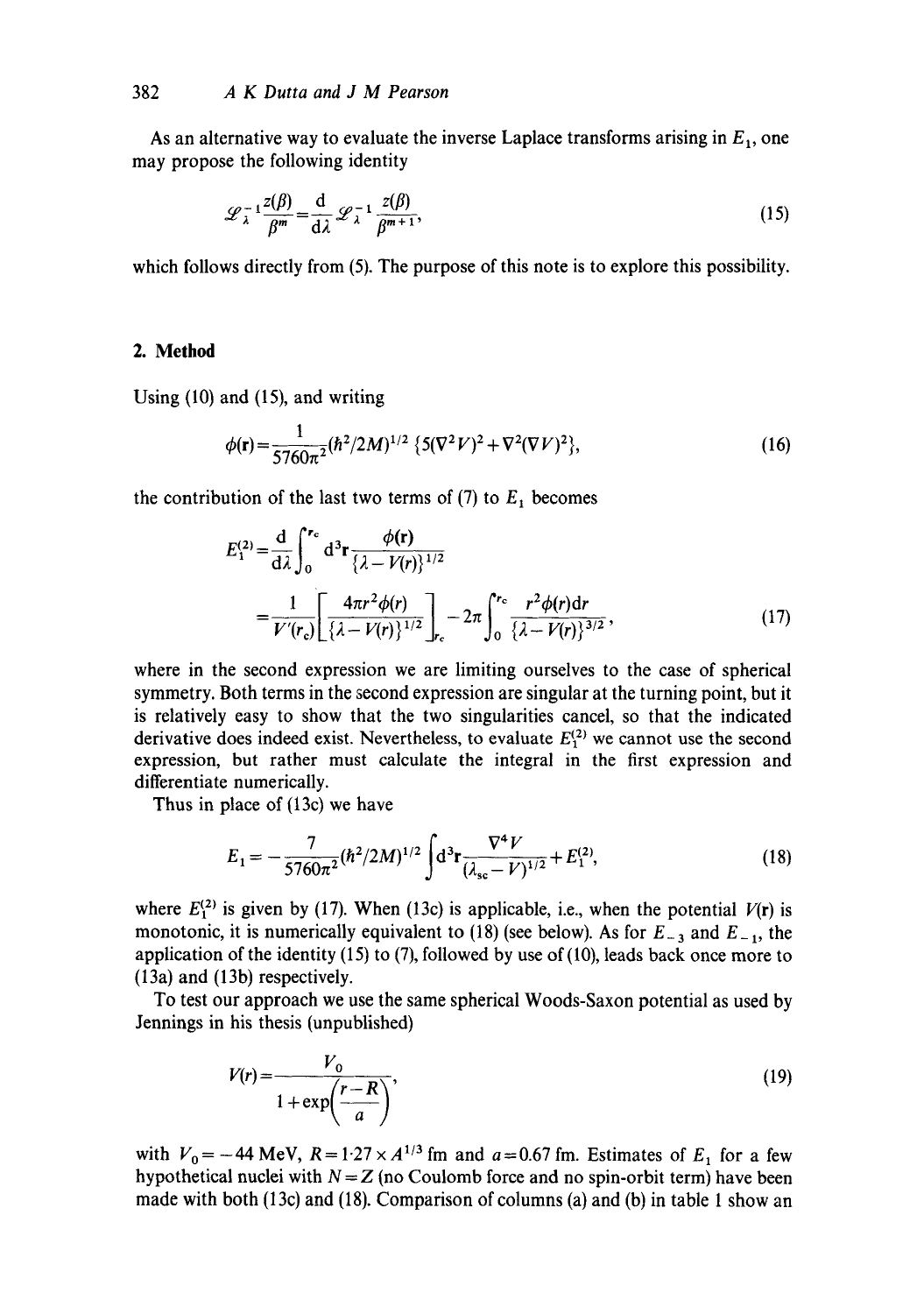As an alternative way to evaluate the inverse Laplace transforms arising in  $E_1$ , one may propose the following identity

$$
\mathcal{L}_{\lambda}^{-1} \frac{z(\beta)}{\beta^{m}} = \frac{d}{d\lambda} \mathcal{L}_{\lambda}^{-1} \frac{z(\beta)}{\beta^{m+1}},
$$
\n(15)

which follows directly from (5). The purpose of this note is to explore this possibility.

# **2. Method**

Using (10) and (15), and writing

$$
\phi(\mathbf{r}) = \frac{1}{5760\pi^2} (\hbar^2/2M)^{1/2} \left\{ 5(\nabla^2 V)^2 + \nabla^2 (\nabla V)^2 \right\},\tag{16}
$$

the contribution of the last two terms of  $(7)$  to  $E_1$  becomes

$$
E_1^{(2)} = \frac{d}{d\lambda} \int_0^{r_c} d^3r \frac{\phi(r)}{\{\lambda - V(r)\}^{1/2}} = \frac{1}{V'(r_c)} \left[ \frac{4\pi r^2 \phi(r)}{\{\lambda - V(r)\}^{1/2}} \right]_{r_c} - 2\pi \int_0^{r_c} \frac{r^2 \phi(r) dr}{\{\lambda - V(r)\}^{3/2}},
$$
(17)

where in the second expression we are limiting ourselves to the case of spherical symmetry. Both terms in the second expression are singular at the turning point, but it is relatively easy to show that the two singularities cancel, so that the indicated derivative does indeed exist. Nevertheless, to evaluate  $E_1^{(2)}$  we cannot use the second expression, but rather must calculate the integral in the first expression and differentiate numerically.

Thus in place of (13c) we have

$$
E_1 = -\frac{7}{5760\pi^2} (\hbar^2/2M)^{1/2} \int d^3r \frac{\nabla^4 V}{(\lambda_{\rm sc} - V)^{1/2}} + E_1^{(2)},\tag{18}
$$

where  $E_1^{(2)}$  is given by (17). When (13c) is applicable, i.e., when the potential  $V(r)$  is monotonic, it is numerically equivalent to (18) (see below). As for  $E_{-3}$  and  $E_{-1}$ , the application of the identity (15) to (7), followed by use of (10), leads back once more to (13a) and (13b) respectively.

To test our approach we use the same spherical Woods-Saxon potential as used by Jennings in his thesis (unpublished)

$$
V(r) = \frac{V_0}{1 + \exp\left(\frac{r - R}{a}\right)},\tag{19}
$$

with  $V_0 = -44$  MeV,  $R = 1.27 \times A^{1/3}$  fm and  $a = 0.67$  fm. Estimates of  $E_1$  for a few hypothetical nuclei with  $N = Z$  (no Coulomb force and no spin-orbit term) have been made with both (13c) and (18). Comparison of columns (a) and (b) in table 1 show an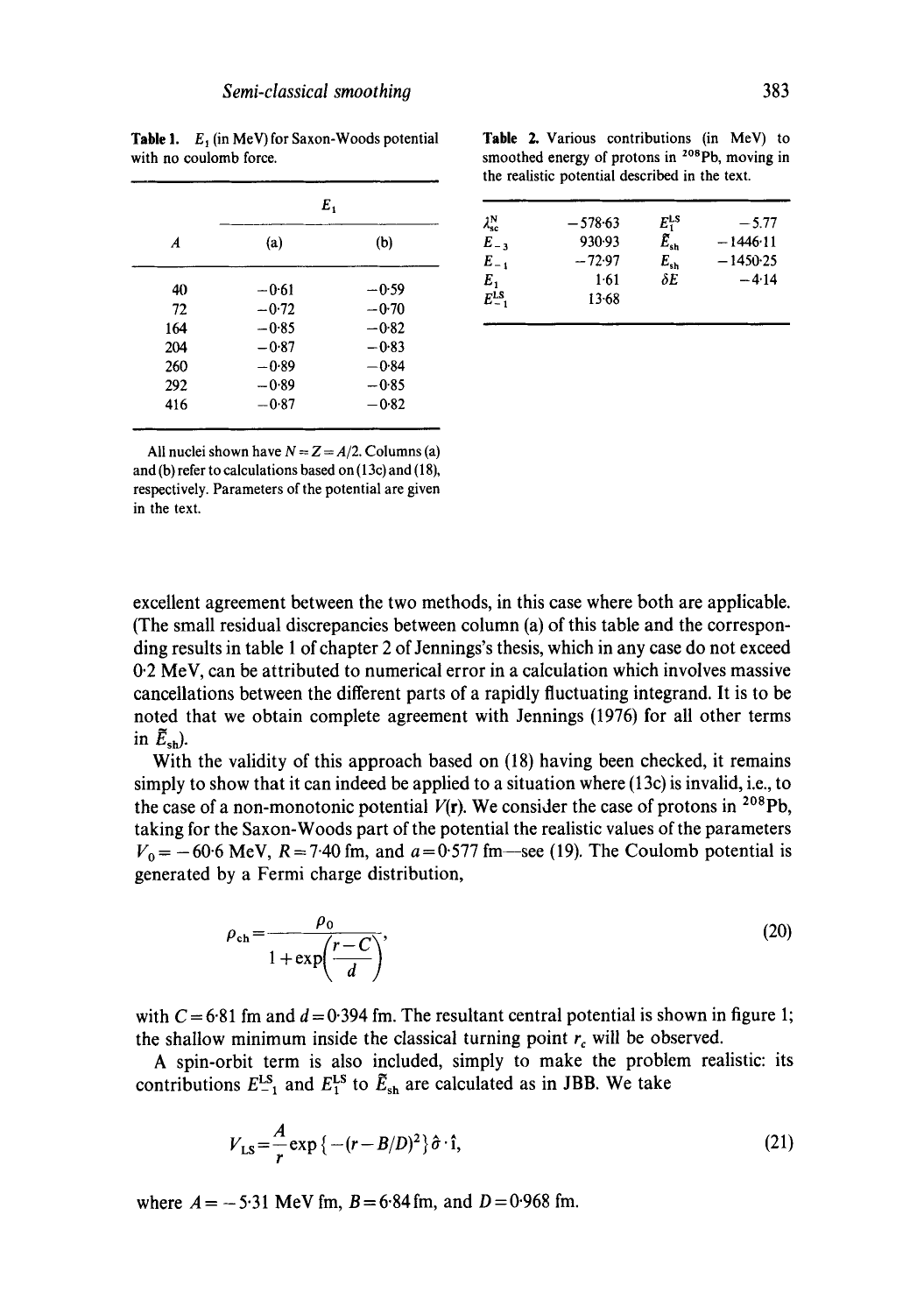| A   | Ε,      |         |
|-----|---------|---------|
|     | (a)     | (b)     |
| 40  | $-0.61$ | $-0.59$ |
| 72  | $-0.72$ | $-0.70$ |
| 164 | -085    | $-0.82$ |
| 204 | $-0.87$ | $-0.83$ |
| 260 | $-0.89$ | $-0.84$ |
| 292 | $-0.89$ | $-0.85$ |
| 416 | $-0.87$ | $-0.82$ |

Table 1.  $E_1$  (in MeV) for Saxon-Woods potential with no coulomb force.

All nuclei shown have  $N = Z = A/2$ . Columns (a) and (b) refer to calculations based on (13c) and (18), respectively. Parameters of the potential are given in the text.

Table 2. Various contributions (in MeV) to smoothed energy of protons in <sup>208</sup>Pb, moving in the realistic potential described in the text.

| $\lambda_{\rm sc}^{\rm N}$       | $-578.63$ | $E_1^{\text{LS}}$    | $-5.77$    |
|----------------------------------|-----------|----------------------|------------|
| $E_{-3}$                         | 930.93    | $\tilde{E}_{\rm sh}$ | $-1446.11$ |
| $E_{-1}$                         | $-72.97$  | $E_{\rm sh}$         | $-1450-25$ |
|                                  | $1-61$    | $\delta E$           | $-4.14$    |
| $E_1$<br>$E_{-1}$ <sup>1.8</sup> | $13 - 68$ |                      |            |
|                                  |           |                      |            |

excellent agreement between the two methods, in this case where both are applicable. (The small residual discrepancies between column (a) of this table and the corresponding results in table 1 of chapter 2 of Jennings's thesis, which in any case do not exceed 0.2 MeV, can be attributed to numerical error in a calculation which involves massive cancellations between the different parts of a rapidly fluctuating integrand. It is to be noted that we obtain complete agreement with Jennings (1976) for all other terms in  $\bar{E}_{\text{sh}}$ ).

With the validity of this approach based on (18) having been checked, it remains simply to show that it can indeed be applied to a situation where (13c) is invalid, i.e., to the case of a non-monotonic potential  $V(r)$ . We consider the case of protons in <sup>208</sup>Pb, taking for the Saxon-Woods part of the potential the realistic values of the parameters  $V_0 = -60.6$  MeV,  $R = 7.40$  fm, and  $a = 0.577$  fm—see (19). The Coulomb potential is generated by a Fermi charge distribution,

$$
\rho_{\rm ch} = \frac{\rho_0}{1 + \exp\left(\frac{r - C}{d}\right)},\tag{20}
$$

with  $C = 6.81$  fm and  $d = 0.394$  fm. The resultant central potential is shown in figure 1; the shallow minimum inside the classical turning point  $r_c$  will be observed.

A spin-orbit term is also included, simply to make the problem realistic: its contributions  $E_{-1}^{LS}$  and  $E_1^{LS}$  to  $\tilde{E}_{sh}$  are calculated as in JBB. We take

$$
V_{LS} = -\frac{A}{r} \exp\left\{-\left(r - B/D\right)^2\right\} \hat{\sigma} \cdot \hat{\mathbf{i}},\tag{21}
$$

where  $A = -5.31$  MeV fm,  $B = 6.84$  fm, and  $D = 0.968$  fm.